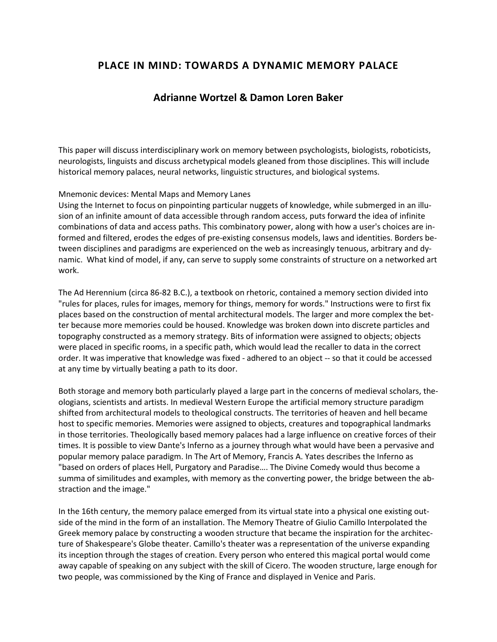# **PLACE IN MIND: TOWARDS A DYNAMIC MEMORY PALACE**

## **Adrianne Wortzel & Damon Loren Baker**

This paper will discuss interdisciplinary work on memory between psychologists, biologists, roboticists, neurologists, linguists and discuss archetypical models gleaned from those disciplines. This will include historical memory palaces, neural networks, linguistic structures, and biological systems.

#### Mnemonic devices: Mental Maps and Memory Lanes

Using the Internet to focus on pinpointing particular nuggets of knowledge, while submerged in an illusion of an infinite amount of data accessible through random access, puts forward the idea of infinite combinations of data and access paths. This combinatory power, along with how a user's choices are informed and filtered, erodes the edges of pre-existing consensus models, laws and identities. Borders between disciplines and paradigms are experienced on the web as increasingly tenuous, arbitrary and dynamic. What kind of model, if any, can serve to supply some constraints of structure on a networked art work.

The Ad Herennium (circa 86-82 B.C.), a textbook on rhetoric, contained a memory section divided into "rules for places, rules for images, memory for things, memory for words." Instructions were to first fix places based on the construction of mental architectural models. The larger and more complex the better because more memories could be housed. Knowledge was broken down into discrete particles and topography constructed as a memory strategy. Bits of information were assigned to objects; objects were placed in specific rooms, in a specific path, which would lead the recaller to data in the correct order. It was imperative that knowledge was fixed - adhered to an object -- so that it could be accessed at any time by virtually beating a path to its door.

Both storage and memory both particularly played a large part in the concerns of medieval scholars, theologians, scientists and artists. In medieval Western Europe the artificial memory structure paradigm shifted from architectural models to theological constructs. The territories of heaven and hell became host to specific memories. Memories were assigned to objects, creatures and topographical landmarks in those territories. Theologically based memory palaces had a large influence on creative forces of their times. It is possible to view Dante's Inferno as a journey through what would have been a pervasive and popular memory palace paradigm. In The Art of Memory, Francis A. Yates describes the Inferno as "based on orders of places Hell, Purgatory and Paradise…. The Divine Comedy would thus become a summa of similitudes and examples, with memory as the converting power, the bridge between the abstraction and the image."

In the 16th century, the memory palace emerged from its virtual state into a physical one existing outside of the mind in the form of an installation. The Memory Theatre of Giulio Camillo Interpolated the Greek memory palace by constructing a wooden structure that became the inspiration for the architecture of Shakespeare's Globe theater. Camillo's theater was a representation of the universe expanding its inception through the stages of creation. Every person who entered this magical portal would come away capable of speaking on any subject with the skill of Cicero. The wooden structure, large enough for two people, was commissioned by the King of France and displayed in Venice and Paris.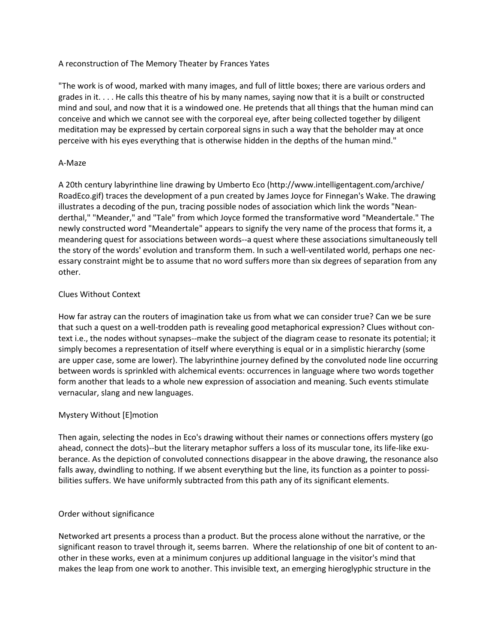#### A reconstruction of The Memory Theater by Frances Yates

"The work is of wood, marked with many images, and full of little boxes; there are various orders and grades in it. . . . He calls this theatre of his by many names, saying now that it is a built or constructed mind and soul, and now that it is a windowed one. He pretends that all things that the human mind can conceive and which we cannot see with the corporeal eye, after being collected together by diligent meditation may be expressed by certain corporeal signs in such a way that the beholder may at once perceive with his eyes everything that is otherwise hidden in the depths of the human mind."

#### A-Maze

A 20th century labyrinthine line drawing by Umberto Eco (http://www.intelligentagent.com/archive/ RoadEco.gif) traces the development of a pun created by James Joyce for Finnegan's Wake. The drawing illustrates a decoding of the pun, tracing possible nodes of association which link the words "Neanderthal," "Meander," and "Tale" from which Joyce formed the transformative word "Meandertale." The newly constructed word "Meandertale" appears to signify the very name of the process that forms it, a meandering quest for associations between words--a quest where these associations simultaneously tell the story of the words' evolution and transform them. In such a well-ventilated world, perhaps one necessary constraint might be to assume that no word suffers more than six degrees of separation from any other.

#### Clues Without Context

How far astray can the routers of imagination take us from what we can consider true? Can we be sure that such a quest on a well-trodden path is revealing good metaphorical expression? Clues without context i.e., the nodes without synapses--make the subject of the diagram cease to resonate its potential; it simply becomes a representation of itself where everything is equal or in a simplistic hierarchy (some are upper case, some are lower). The labyrinthine journey defined by the convoluted node line occurring between words is sprinkled with alchemical events: occurrences in language where two words together form another that leads to a whole new expression of association and meaning. Such events stimulate vernacular, slang and new languages.

### Mystery Without [E]motion

Then again, selecting the nodes in Eco's drawing without their names or connections offers mystery (go ahead, connect the dots)--but the literary metaphor suffers a loss of its muscular tone, its life-like exuberance. As the depiction of convoluted connections disappear in the above drawing, the resonance also falls away, dwindling to nothing. If we absent everything but the line, its function as a pointer to possibilities suffers. We have uniformly subtracted from this path any of its significant elements.

#### Order without significance

Networked art presents a process than a product. But the process alone without the narrative, or the significant reason to travel through it, seems barren. Where the relationship of one bit of content to another in these works, even at a minimum conjures up additional language in the visitor's mind that makes the leap from one work to another. This invisible text, an emerging hieroglyphic structure in the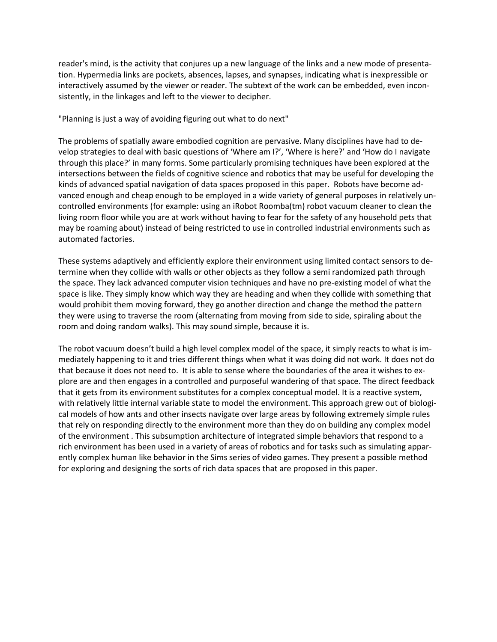reader's mind, is the activity that conjures up a new language of the links and a new mode of presentation. Hypermedia links are pockets, absences, lapses, and synapses, indicating what is inexpressible or interactively assumed by the viewer or reader. The subtext of the work can be embedded, even inconsistently, in the linkages and left to the viewer to decipher.

"Planning is just a way of avoiding figuring out what to do next"

The problems of spatially aware embodied cognition are pervasive. Many disciplines have had to develop strategies to deal with basic questions of 'Where am I?', 'Where is here?' and 'How do I navigate through this place?' in many forms. Some particularly promising techniques have been explored at the intersections between the fields of cognitive science and robotics that may be useful for developing the kinds of advanced spatial navigation of data spaces proposed in this paper. Robots have become advanced enough and cheap enough to be employed in a wide variety of general purposes in relatively uncontrolled environments (for example: using an iRobot Roomba(tm) robot vacuum cleaner to clean the living room floor while you are at work without having to fear for the safety of any household pets that may be roaming about) instead of being restricted to use in controlled industrial environments such as automated factories.

These systems adaptively and efficiently explore their environment using limited contact sensors to determine when they collide with walls or other objects as they follow a semi randomized path through the space. They lack advanced computer vision techniques and have no pre-existing model of what the space is like. They simply know which way they are heading and when they collide with something that would prohibit them moving forward, they go another direction and change the method the pattern they were using to traverse the room (alternating from moving from side to side, spiraling about the room and doing random walks). This may sound simple, because it is.

The robot vacuum doesn't build a high level complex model of the space, it simply reacts to what is immediately happening to it and tries different things when what it was doing did not work. It does not do that because it does not need to. It is able to sense where the boundaries of the area it wishes to explore are and then engages in a controlled and purposeful wandering of that space. The direct feedback that it gets from its environment substitutes for a complex conceptual model. It is a reactive system, with relatively little internal variable state to model the environment. This approach grew out of biological models of how ants and other insects navigate over large areas by following extremely simple rules that rely on responding directly to the environment more than they do on building any complex model of the environment . This subsumption architecture of integrated simple behaviors that respond to a rich environment has been used in a variety of areas of robotics and for tasks such as simulating apparently complex human like behavior in the Sims series of video games. They present a possible method for exploring and designing the sorts of rich data spaces that are proposed in this paper.